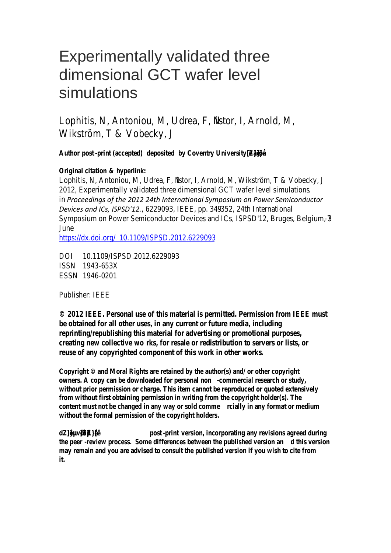# Experimentally validated three dimensional GCT wafer level simulations

Lophitis, N, Antoniou, istoridinear, IGN M, Wikström, T & Vobecky, J

**Author post -print (accepted) deposited by Coventry University [•Z‰}•]š}ŒÇ**

## **Original citationerlink**

Lophitis, N, Antoniou, istolderea, Fold, M, Wikström, T & Vobec 201Experimentally validated three dimensional GCT wafer level in*Proceedings of the 2012 24th International Symposium on Power Semiconductor Devices and ICs, ISPSD'12.*, 6229093, IEBE, pp. 4 B<sub>14</sub> Phternational Symposium on Power Semiconductor Devices and ICs, ISPSD June

https://dx.**doi.bfg/**9/ISPSD.2012.6229093

DOI 10.1109/ISPSD.2012.6229093  $ISSN1946353X$ ESSN19406201

## Publisher<sub>F</sub>

© 201EEE. Personal use of this material is permitted. Permiss be obtained for all other uses, in any current or future med reprinting/republishing this material for advertising or prome creating new collextive was ale or redistribution to servers o reuse of any copyrighted component of this work in other

Copyright  $\circ$  and Moral Rights are retained by the author(s) and/ owners. A copy can be downloaded infermit senating or study, without prior permission or charge. This item cannot be reproduc from without first obtaining permission in writing from the copy content must not be changed in a rigllway any subdination and ium **without the formal permission of the copyright holders.** 

d Z ] • } µ uposptisinted rsions incorporating any revisions agree the peeview pr60ess.differences between the optibilished sicension a may remain and you are advised to consult the published version **it.**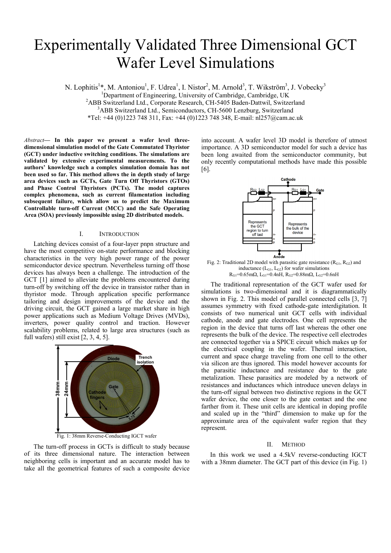# Experimentally Validated Three Dimensional GCT Wafer Level Simulations

N. Lophitis<sup>1</sup>\*, M. Antoniou<sup>1</sup>, F. Udrea<sup>1</sup>, I. Nistor<sup>2</sup>, M. Arnold<sup>3</sup>, T. Wikström<sup>3</sup>, J. Vobecky<sup>3</sup>

<sup>1</sup>Department of Engineering, University of Cambridge, Cambridge, UK<br><sup>2</sup>A BB Switterland Ltd. Cornorate Because CH 5405 Beden Dettwil. Switter

<sup>2</sup>ABB Switzerland Ltd., Corporate Research, CH-5405 Baden-Dattwil, Switzerland

<sup>3</sup>ABB Switzerland Ltd., Semiconductors, CH-5600 Lenzburg, Switzerland

\*Tel: +44 (0)1223 748 311, Fax: +44 (0)1223 748 348, E-mail: nl257@cam.ac.uk

*Abstract***— In this paper we present a wafer level threedimensional simulation model of the Gate Commutated Thyristor (GCT) under inductive switching conditions. The simulations are validated by extensive experimental measurements. To the authors' knowledge such a complex simulation domain has not been used so far. This method allows the in depth study of large area devices such as GCTs, Gate Turn Off Thyristors (GTOs) and Phase Control Thyristors (PCTs). The model captures complex phenomena, such as current filamentation including subsequent failure, which allow us to predict the Maximum Controllable turn-off Current (MCC) and the Safe Operating Area (SOA) previously impossible using 2D distributed models.** 

### I. INTRODUCTION

Latching devices consist of a four-layer pnpn structure and have the most competitive on-state performance and blocking characteristics in the very high power range of the power semiconductor device spectrum. Nevertheless turning off those devices has always been a challenge. The introduction of the GCT [1] aimed to alleviate the problems encountered during turn-off by switching off the device in transistor rather than in thyristor mode. Through application specific performance tailoring and design improvements of the device and the driving circuit, the GCT gained a large market share in high power applications such as Medium Voltage Drives (MVDs), inverters, power quality control and traction. However scalability problems, related to large area structures (such as full wafers) still exist [2, 3, 4, 5].



The turn-off process in GCTs is difficult to study because of its three dimensional nature. The interaction between neighboring cells is important and an accurate model has to take all the geometrical features of such a composite device

into account. A wafer level 3D model is therefore of utmost importance. A 3D semiconductor model for such a device has been long awaited from the semiconductor community, but only recently computational methods have made this possible [6].



Fig. 2: Traditional 2D model with parasitic gate resistance  $(R<sub>G1</sub>, R<sub>G2</sub>)$  and inductance  $(L_{G1}, L_{G2})$  for wafer simulations  $R_{G1}$ =0.65mΩ, L<sub>G1</sub>=0.4nH, R<sub>G2</sub>=0.88mΩ, L<sub>G2</sub>=0.6nH

The traditional representation of the GCT wafer used for simulations is two-dimensional and it is diagrammatically shown in Fig. 2. This model of parallel connected cells [3, 7] assumes symmetry with fixed cathode-gate interdigitation. It consists of two numerical unit GCT cells with individual cathode, anode and gate electrodes. One cell represents the region in the device that turns off last whereas the other one represents the bulk of the device. The respective cell electrodes are connected together via a SPICE circuit which makes up for the electrical coupling in the wafer. Thermal interaction, current and space charge traveling from one cell to the other via silicon are thus ignored. This model however accounts for the parasitic inductance and resistance due to the gate metalization. These parasitics are modeled by a network of resistances and inductances which introduce uneven delays in the turn-off signal between two distinctive regions in the GCT wafer device, the one closer to the gate contact and the one farther from it. These unit cells are identical in doping profile and scaled up in the "third" dimension to make up for the approximate area of the equivalent wafer region that they represent.

#### II. METHOD

In this work we used a 4.5kV reverse-conducting IGCT with a 38mm diameter. The GCT part of this device (in Fig. 1)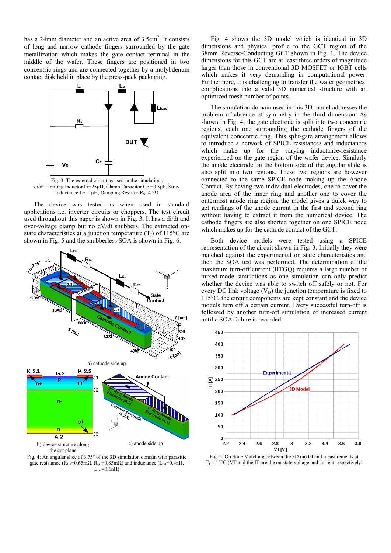has a 24mm diameter and an active area of 3.5cm<sup>2</sup>. It consists of long and narrow cathode fingers surrounded by the gate metallization which makes the gate contact terminal in the middle of the wafer. These fingers are positioned in two concentric rings and are connected together by a molybdenum contact disk held in place by the press-pack packaging.



Fig. 3: The external circuit as used in the simulations di/dt Limiting Inductor Li=25μH, Clamp Capacitor Ccl=0.5μF, Stray Inductance Lσ=1μH, Damping Resistor R<sub>S</sub>=4.2Ω

The device was tested as when used in standard applications i.e. inverter circuits or choppers. The test circuit used throughout this paper is shown in Fig. 3. It has a di/dt and over-voltage clamp but no dV/dt snubbers. The extracted onstate characteristics at a junction temperature  $(T<sub>J</sub>)$  of 115<sup>o</sup>C are shown in Fig. 5 and the snubberless SOA is shown in Fig. 6.



Fig. 4: An angular slice of 3.75° of the 3D simulation domain with parasitic gate resistance ( $R_{\text{G1}}$ =0.65m $\Omega$ ,  $R_{\text{G2}}$ =0.85m $\Omega$ ) and inductance ( $L_{\text{G1}}$ =0.4nH,  $L_{G2}=0.6nH$ 

Fig. 4 shows the 3D model which is identical in 3D dimensions and physical profile to the GCT region of the 38mm Reverse-Conducting GCT shown in Fig. 1. The device dimensions for this GCT are at least three orders of magnitude larger than those in conventional 3D MOSFET or IGBT cells which makes it very demanding in computational power. Furthermore, it is challenging to transfer the wafer geometrical complications into a valid 3D numerical structure with an optimized mesh number of points.

The simulation domain used in this 3D model addresses the problem of absence of symmetry in the third dimension. As shown in Fig. 4, the gate electrode is split into two concentric regions, each one surrounding the cathode fingers of the equivalent concentric ring. This split-gate arrangement allows to introduce a network of SPICE resistances and inductances which make up for the varying inductance-resistance experienced on the gate region of the wafer device. Similarly the anode electrode on the bottom side of the angular slide is also split into two regions. These two regions are however connected to the same SPICE node making up the Anode Contact. By having two individual electrodes, one to cover the anode area of the inner ring and another one to cover the outermost anode ring region, the model gives a quick way to get readings of the anode current in the first and second ring without having to extract it from the numerical device. The cathode fingers are also shorted together on one SPICE node which makes up for the cathode contact of the GCT.

Both device models were tested using a SPICE representation of the circuit shown in Fig. 3. Initially they were matched against the experimental on state characteristics and then the SOA test was performed. The determination of the maximum turn-off current (IITGQ) requires a large number of mixed-mode simulations as one simulation can only predict whether the device was able to switch off safely or not. For every DC link voltage  $(V_D)$  the junction temperature is fixed to 115°C, the circuit components are kept constant and the device models turn off a certain current. Every successful turn-off is followed by another turn-off simulation of increased current until a SOA failure is recorded.



Fig. 5: On State Matching between the 3D model and measurements at  $T_J=115\,^{\circ}\text{C}$  (VT and the IT are the on state voltage and current respectively)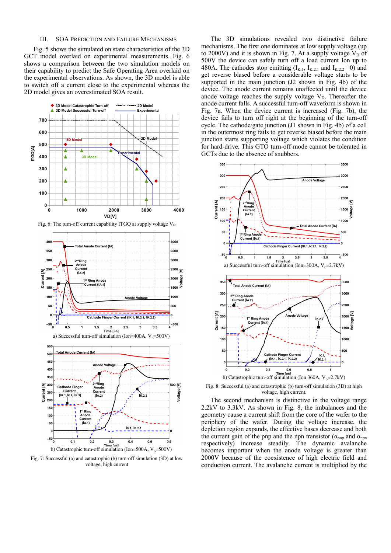#### III. SOA PREDICTION AND FAILURE MECHANISMS

Fig. 5 shows the simulated on state characteristics of the 3D GCT model overlaid on experimental measurements. Fig. 6 shows a comparison between the two simulation models on their capability to predict the Safe Operating Area overlaid on the experimental observations. As shown, the 3D model is able to switch off a current close to the experimental whereas the 2D model gives an overestimated SOA result.



Fig. 7: Successful (a) and catastrophic (b) turn-off simulation (3D) at low voltage, high current

b) Catastrophic turn-off simulation (Ion=500A,  $V_p$ =500V)

The 3D simulations revealed two distinctive failure mechanisms. The first one dominates at low supply voltage (up to 2000V) and it is shown in Fig. 7. At a supply voltage  $V_D$  of 500V the device can safely turn off a load current Ion up to 480A. The cathodes stop emitting  $(I_{K,1}, I_{K,2,1}$  and  $I_{K,2,2} = 0$ ) and get reverse biased before a considerable voltage starts to be supported in the main junction (J2 shown in Fig. 4b) of the device. The anode current remains unaffected until the device anode voltage reaches the supply voltage  $V<sub>D</sub>$ . Thereafter the anode current falls. A successful turn-off waveform is shown in Fig. 7a. When the device current is increased (Fig. 7b), the device fails to turn off right at the beginning of the turn-off cycle. The cathode/gate junction (J1 shown in Fig. 4b) of a cell in the outermost ring fails to get reverse biased before the main junction starts supporting voltage which violates the condition for hard-drive. This GTO turn-off mode cannot be tolerated in GCTs due to the absence of snubbers.



Fig. 8: Successful (a) and catastrophic (b) turn-off simulation (3D) at high voltage, high current.

The second mechanism is distinctive in the voltage range 2.2kV to 3.3kV. As shown in Fig. 8, the imbalances and the geometry cause a current shift from the core of the wafer to the periphery of the wafer. During the voltage increase, the depletion region expands, the effective bases decrease and both the current gain of the pnp and the npn transistor ( $\alpha_{mn}$  and  $\alpha_{mn}$ ) respectively) increase steadily. The dynamic avalanche becomes important when the anode voltage is greater than 2000V because of the coexistence of high electric field and conduction current. The avalanche current is multiplied by the